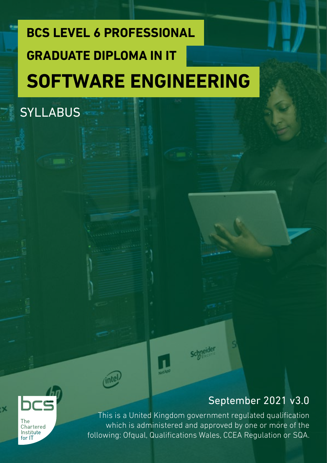## **BCS LEVEL 6 PROFESSIONAL SOFTWARE ENGINEERING GRADUATE DIPLOMA IN IT**



ьX

**SYLLABUS** 

September 2021 v3.0

Chartered Institute  $for 1T$ 

This is a United Kingdom government regulated qualification which is administered and approved by one or more of the following: Ofqual, Qualifications Wales, CCEA Regulation or SQA.

**schneider**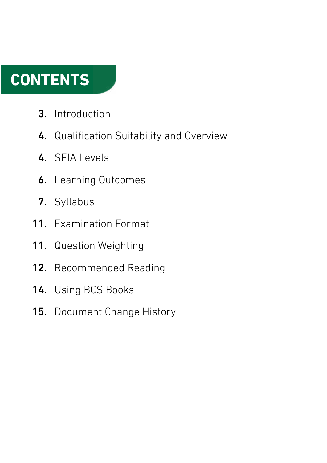## **CONTENTS**

- Introduction 3.
- 4. Qualification Suitability and Overview
- 4. SFIA Levels
- Learning Outcomes 6.
- 7. Syllabus
- 11. Examination Format
- Question Weighting 11.
- Recommended Reading 12.
- Using BCS Books 14.
- Document Change History 15.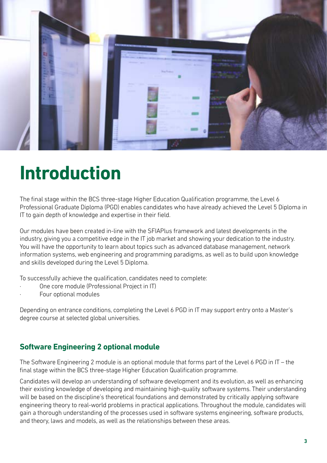

## **Introduction**

The final stage within the BCS three-stage Higher Education Qualification programme, the Level 6 Professional Graduate Diploma (PGD) enables candidates who have already achieved the Level 5 Diploma in IT to gain depth of knowledge and expertise in their field.

Our modules have been created in-line with the SFIAPlus framework and latest developments in the industry, giving you a competitive edge in the IT job market and showing your dedication to the industry. You will have the opportunity to learn about topics such as advanced database management, network information systems, web engineering and programming paradigms, as well as to build upon knowledge and skills developed during the Level 5 Diploma.

To successfully achieve the qualification, candidates need to complete:

- One core module (Professional Project in IT)
- Four optional modules

Depending on entrance conditions, completing the Level 6 PGD in IT may support entry onto a Master's degree course at selected global universities.

## **Software Engineering 2 optional module**

The Software Engineering 2 module is an optional module that forms part of the Level 6 PGD in IT – the final stage within the BCS three-stage Higher Education Qualification programme.

Candidates will develop an understanding of software development and its evolution, as well as enhancing their existing knowledge of developing and maintaining high-quality software systems. Their understanding will be based on the discipline's theoretical foundations and demonstrated by critically applying software engineering theory to real-world problems in practical applications. Throughout the module, candidates will gain a thorough understanding of the processes used in software systems engineering, software products, and theory, laws and models, as well as the relationships between these areas.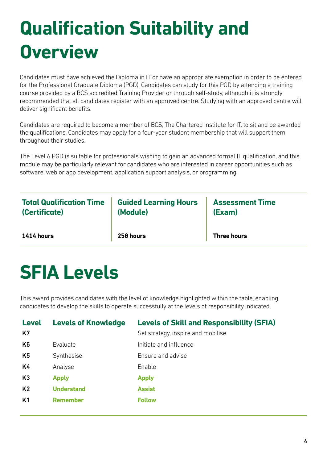# **Qualification Suitability and Overview**

Candidates must have achieved the Diploma in IT or have an appropriate exemption in order to be entered for the Professional Graduate Diploma (PGD). Candidates can study for this PGD by attending a training course provided by a BCS accredited Training Provider or through self-study, although it is strongly recommended that all candidates register with an approved centre. Studying with an approved centre will deliver significant benefits.

Candidates are required to become a member of BCS, The Chartered Institute for IT, to sit and be awarded the qualifications. Candidates may apply for a four-year student membership that will support them throughout their studies.

The Level 6 PGD is suitable for professionals wishing to gain an advanced formal IT qualification, and this module may be particularly relevant for candidates who are interested in career opportunities such as software, web or app development, application support analysis, or programming.

| <b>Total Qualification Time</b> | <b>Guided Learning Hours</b> | <b>Assessment Time</b> |
|---------------------------------|------------------------------|------------------------|
| (Certificate)                   | (Module)                     | (Exam)                 |
| 1414 hours                      | 250 hours                    | <b>Three hours</b>     |

## **SFIA Levels**

This award provides candidates with the level of knowledge highlighted within the table, enabling candidates to develop the skills to operate successfully at the levels of responsibility indicated.

| <b>Level</b><br>K7 | <b>Levels of Knowledge</b> | <b>Levels of Skill and Responsibility (SFIA)</b><br>Set strategy, inspire and mobilise |
|--------------------|----------------------------|----------------------------------------------------------------------------------------|
| K <sub>6</sub>     | Evaluate                   | Initiate and influence                                                                 |
| K <sub>5</sub>     | Synthesise                 | Ensure and advise                                                                      |
| K4                 | Analyse                    | Enable                                                                                 |
| K3                 | <b>Apply</b>               | <b>Apply</b>                                                                           |
| K <sub>2</sub>     | <b>Understand</b>          | <b>Assist</b>                                                                          |
| K <sub>1</sub>     | <b>Remember</b>            | <b>Follow</b>                                                                          |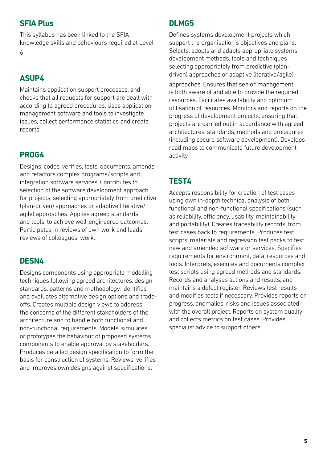### **SFIA Plus**

This syllabus has been linked to the SFIA knowledge skills and behaviours required at Level

6

## **ASUP4**

Maintains application support processes, and checks that all requests for support are dealt with according to agreed procedures. Uses application management software and tools to investigate issues, collect performance statistics and create reports.

## **PROG4**

Designs, codes, verifies, tests, documents, amends and refactors complex programs/scripts and integration software services. Contributes to selection of the software development approach for projects, selecting appropriately from predictive (plan-driven) approaches or adaptive (iterative/ agile) approaches. Applies agreed standards and tools, to achieve well-engineered outcomes. Participates in reviews of own work and leads reviews of colleagues' work.

## **DESN4**

Designs components using appropriate modelling techniques following agreed architectures, design standards, patterns and methodology. Identifies and evaluates alternative design options and tradeoffs. Creates multiple design views to address the concerns of the different stakeholders of the architecture and to handle both functional and non-functional requirements. Models, simulates or prototypes the behaviour of proposed systems components to enable approval by stakeholders. Produces detailed design specification to form the basis for construction of systems. Reviews, verifies and improves own designs against specifications.

### **DLMG5**

Defines systems development projects which support the organisation's objectives and plans. Selects, adopts and adapts appropriate systems development methods, tools and techniques selecting appropriately from predictive (plandriven) approaches or adaptive (iterative/agile)

approaches. Ensures that senior management is both aware of and able to provide the required resources. Facilitates availability and optimum utilisation of resources. Monitors and reports on the progress of development projects, ensuring that projects are carried out in accordance with agreed architectures, standards, methods and procedures (including secure software development). Develops road maps to communicate future development activity.

## **TEST4**

Accepts responsibility for creation of test cases using own in-depth technical analysis of both functional and non-functional specifications (such as reliability, efficiency, usability, maintainability and portability). Creates traceability records, from test cases back to requirements. Produces test scripts, materials and regression test packs to test new and amended software or services. Specifies requirements for environment, data, resources and tools. Interprets, executes and documents complex test scripts using agreed methods and standards. Records and analyses actions and results, and maintains a defect register. Reviews test results and modifies tests if necessary. Provides reports on progress, anomalies, risks and issues associated with the overall project. Reports on system quality and collects metrics on test cases. Provides specialist advice to support others.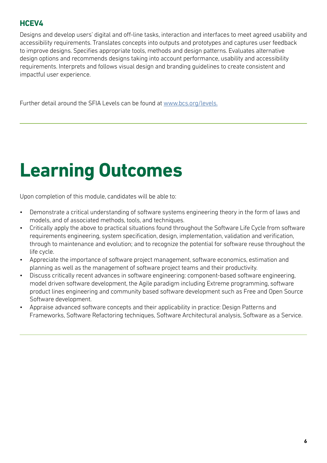### **HCEV4**

Designs and develop users' digital and off-line tasks, interaction and interfaces to meet agreed usability and accessibility requirements. Translates concepts into outputs and prototypes and captures user feedback to improve designs. Specifies appropriate tools, methods and design patterns. Evaluates alternative design options and recommends designs taking into account performance, usability and accessibility requirements. Interprets and follows visual design and branding guidelines to create consistent and impactful user experience.

Further detail around the SFIA Levels can be found at [www.bcs.org/levels.](https://www.bcs.org/media/5165/sfia-levels-knowledge.pdf)

## **Learning Outcomes**

Upon completion of this module, candidates will be able to:

- Demonstrate a critical understanding of software systems engineering theory in the form of laws and models, and of associated methods, tools, and techniques.
- Critically apply the above to practical situations found throughout the Software Life Cycle from software requirements engineering, system specification, design, implementation, validation and verification, through to maintenance and evolution; and to recognize the potential for software reuse throughout the life cycle.
- Appreciate the importance of software project management, software economics, estimation and planning as well as the management of software project teams and their productivity.
- Discuss critically recent advances in software engineering: component-based software engineering, model driven software development, the Agile paradigm including Extreme programming, software product lines engineering and community based software development such as Free and Open Source Software development.
- Appraise advanced software concepts and their applicability in practice: Design Patterns and Frameworks, Software Refactoring techniques, Software Architectural analysis, Software as a Service.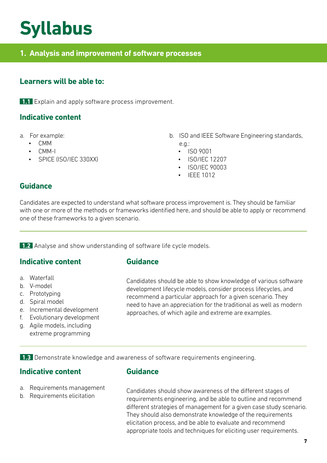## **Syllabus**

#### **1. Analysis and improvement of software processes**

### **Learners will be able to:**

**1.1** Explain and apply software process improvement.

#### **Indicative content**

- a. For example:
	- CMM
	- CMM-I
	- SPICE (ISO/IEC 330XX)
- b. ISO and IEEE Software Engineering standards, e.g.:
	- ISO 9001
	- ISO/IEC 12207
	- ISO/IEC 90003
	- IFFF 1012

#### **Guidance**

Candidates are expected to understand what software process improvement is. They should be familiar with one or more of the methods or frameworks identified here, and should be able to apply or recommend one of these frameworks to a given scenario.

**1.2** Analyse and show understanding of software life cycle models.

#### **Indicative content**

#### **Guidance**

- a. Waterfall
- b. V-model
- c. Prototyping
- d. Spiral model
- e. Incremental development
- f. Evolutionary development
- g. Agile models, including
- extreme programming

Candidates should be able to show knowledge of various software development lifecycle models, consider process lifecycles, and recommend a particular approach for a given scenario. They need to have an appreciation for the traditional as well as modern approaches, of which agile and extreme are examples.

**1.3** Demonstrate knowledge and awareness of software requirements engineering.

#### **Indicative content**

- **Guidance**
- a. Requirements management
- b. Requirements elicitation

Candidates should show awareness of the different stages of requirements engineering, and be able to outline and recommend different strategies of management for a given case study scenario. They should also demonstrate knowledge of the requirements elicitation process, and be able to evaluate and recommend appropriate tools and techniques for eliciting user requirements.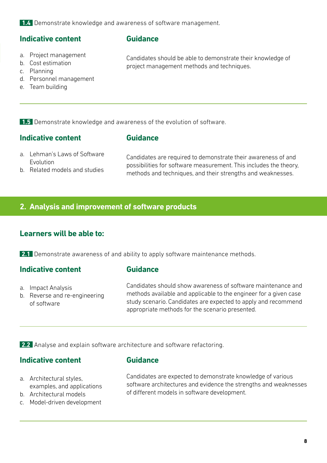**1.4** Demonstrate knowledge and awareness of software management.

#### **Indicative content**

#### **Guidance**

- a. Project management
- b. Cost estimation
- c. Planning
- d. Personnel management
- e. Team building

**1.5** Demonstrate knowledge and awareness of the evolution of software.

#### **Indicative content**

#### **Guidance**

- a. Lehman's Laws of Software Evolution
- b. Related models and studies

Candidates are required to demonstrate their awareness of and possibilities for software measurement. This includes the theory, methods and techniques, and their strengths and weaknesses.

Candidates should be able to demonstrate their knowledge of

project management methods and techniques.

#### **2. Analysis and improvement of software products**

### **Learners will be able to:**

**2.1** Demonstrate awareness of and ability to apply software maintenance methods.

#### **Indicative content**

#### **Guidance**

a. Impact Analysis b. Reverse and re-engineering of software

Candidates should show awareness of software maintenance and methods available and applicable to the engineer for a given case study scenario. Candidates are expected to apply and recommend appropriate methods for the scenario presented.

**2.2** Analyse and explain software architecture and software refactoring.

#### **Indicative content**

#### **Guidance**

- a. Architectural styles, examples, and applications
- b. Architectural models
- c. Model-driven development

Candidates are expected to demonstrate knowledge of various software architectures and evidence the strengths and weaknesses of different models in software development.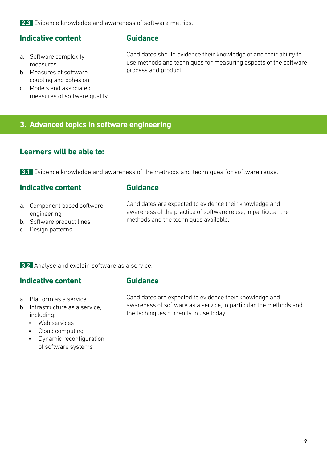**2.3** Evidence knowledge and awareness of software metrics.

#### **Indicative content**

## **Guidance**

- a. Software complexity measures
- b. Measures of software coupling and cohesion
- c. Models and associated measures of software quality

Candidates should evidence their knowledge of and their ability to use methods and techniques for measuring aspects of the software process and product.

#### **3. Advanced topics in software engineering**

### **Learners will be able to:**

**3.1** Evidence knowledge and awareness of the methods and techniques for software reuse.

#### **Indicative content**

#### **Guidance**

a. Component based software engineering

Candidates are expected to evidence their knowledge and awareness of the practice of software reuse, in particular the methods and the techniques available.

- b. Software product lines
- c. Design patterns

#### **3.2** Analyse and explain software as a service.

#### **Indicative content**

- **Guidance**
- a. Platform as a service
- b. Infrastructure as a service, including:
	- Web services
	- Cloud computing
	- Dynamic reconfiguration of software systems

Candidates are expected to evidence their knowledge and awareness of software as a service, in particular the methods and the techniques currently in use today.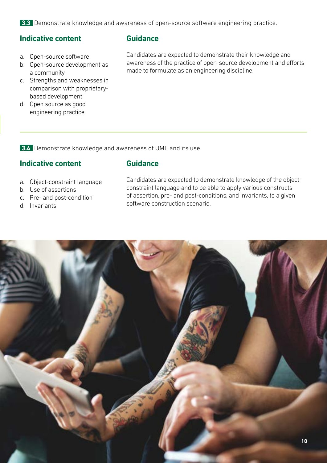**3.3** Demonstrate knowledge and awareness of open-source software engineering practice.

#### **Indicative content**

- a. Open-source software
- b. Open-source development as a community
- c. Strengths and weaknesses in comparison with proprietarybased development
- d. Open source as good engineering practice

#### **Guidance**

Candidates are expected to demonstrate their knowledge and awareness of the practice of open-source development and efforts made to formulate as an engineering discipline.

**3.4** Demonstrate knowledge and awareness of UML and its use.

### **Indicative content**

### **Guidance**

- a. Object-constraint language
- b. Use of assertions
- c. Pre- and post-condition
- d. Invariants

Candidates are expected to demonstrate knowledge of the objectconstraint language and to be able to apply various constructs of assertion, pre- and post-conditions, and invariants, to a given software construction scenario.

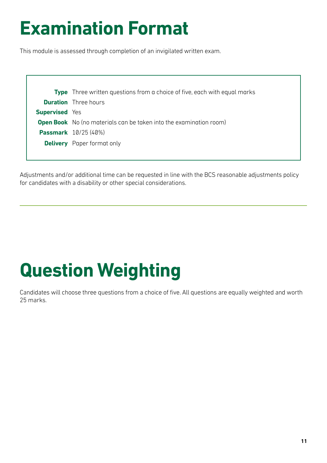# **Examination Format**

This module is assessed through completion of an invigilated written exam.

|                       | <b>Type</b> Three written questions from a choice of five, each with equal marks |
|-----------------------|----------------------------------------------------------------------------------|
|                       | <b>Duration</b> Three hours                                                      |
| <b>Supervised Yes</b> |                                                                                  |
|                       | <b>Open Book</b> No (no materials can be taken into the examination room)        |
|                       | <b>Passmark</b> 10/25 (40%)                                                      |
|                       | <b>Delivery</b> Paper format only                                                |
|                       |                                                                                  |

Adjustments and/or additional time can be requested in line with the BCS reasonable adjustments policy for candidates with a disability or other special considerations.

# **Question Weighting**

Candidates will choose three questions from a choice of five. All questions are equally weighted and worth 25 marks.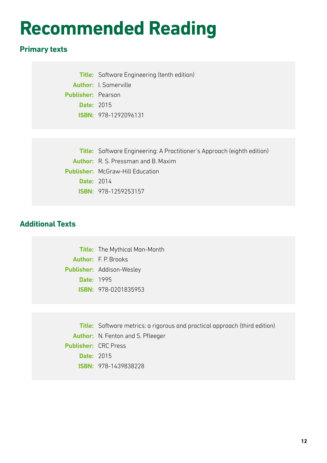# **Recommended Reading**

## **Primary texts**

**Title:** Software Engineering (tenth edition) **Author:** I. Somerville **Publisher:** Pearson **Date:** 2015 **ISBN:** 978-1292096131

**Title:** Software Engineering: A Practitioner's Approach (eighth edition) **Author:** R. S. Pressman and B. Maxim **Publisher:** McGraw-Hill Education **Date:** 2014 **ISBN:** 978-1259253157

## **Additional Texts**

**Title:** The Mythical Man-Month **Author:** F. P. Brooks **Publisher:** Addison-Wesley **Date:** 1995 **ISBN:** 978-0201835953

**Title:** Software metrics: a rigorous and practical approach (third edition) **Author:** N. Fenton and S. Pfleeger **Publisher:** CRC Press **Date:** 2015 **ISBN:** 978-1439838228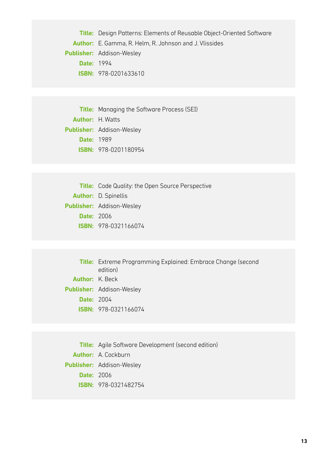**Title:** Design Patterns: Elements of Reusable Object-Oriented Software **Author:** E. Gamma, R. Helm, R. Johnson and J. Vlissides **Publisher:** Addison-Wesley **Date:** 1994 **ISBN:** 978-0201633610

**Title:** Managing the Software Process (SEI) **Author:** H. Watts **Publisher:** Addison-Wesley **Date:** 1989 **ISBN:** 978-0201180954

**Title:** Code Quality: the Open Source Perspective **Author:** D. Spinellis **Publisher:** Addison-Wesley **Date:** 2006 **ISBN:** 978-0321166074

**Title:** Extreme Programming Explained: Embrace Change (second edition) **Author:** K. Beck **Publisher:** Addison-Wesley **Date:** 2004 **ISBN:** 978-0321166074

**Title:** Agile Software Development (second edition) **Author:** A. Cockburn **Publisher:** Addison-Wesley **Date:** 2006 **ISBN:** 978-0321482754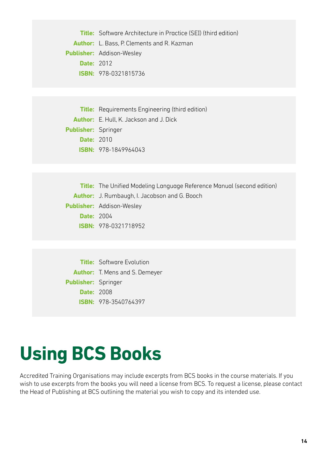**Title:** Software Architecture in Practice (SEI) (third edition) **Author:** L. Bass, P. Clements and R. Kazman **Publisher:** Addison-Wesley **Date:** 2012 **ISBN:** 978-0321815736

**Title:** Requirements Engineering (third edition) **Author:** E. Hull, K. Jackson and J. Dick **Publisher:** Springer **Date:** 2010 **ISBN:** 978-1849964043

**Title:** The Unified Modeling Language Reference Manual (second edition) **Author:** J. Rumbaugh, I. Jacobson and G. Booch **Publisher:** Addison-Wesley **Date:** 2004 **ISBN:** 978-0321718952

**Title:** Software Evolution **Author:** T. Mens and S. Demeyer **Publisher:** Springer **Date:** 2008 **ISBN:** 978-3540764397

## **Using BCS Books**

Accredited Training Organisations may include excerpts from BCS books in the course materials. If you wish to use excerpts from the books you will need a license from BCS. To request a license, please contact the Head of Publishing at BCS outlining the material you wish to copy and its intended use.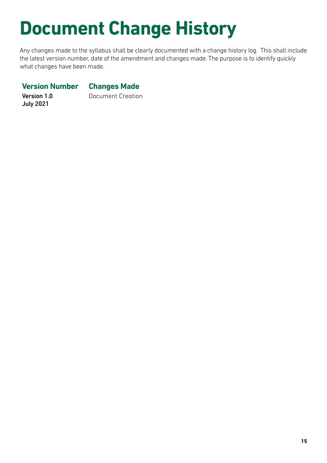# **Document Change History**

Any changes made to the syllabus shall be clearly documented with a change history log. This shall include the latest version number, date of the amendment and changes made. The purpose is to identify quickly what changes have been made.

#### **Version Number Changes Made**

Version 1.0 July 2021

Document Creation